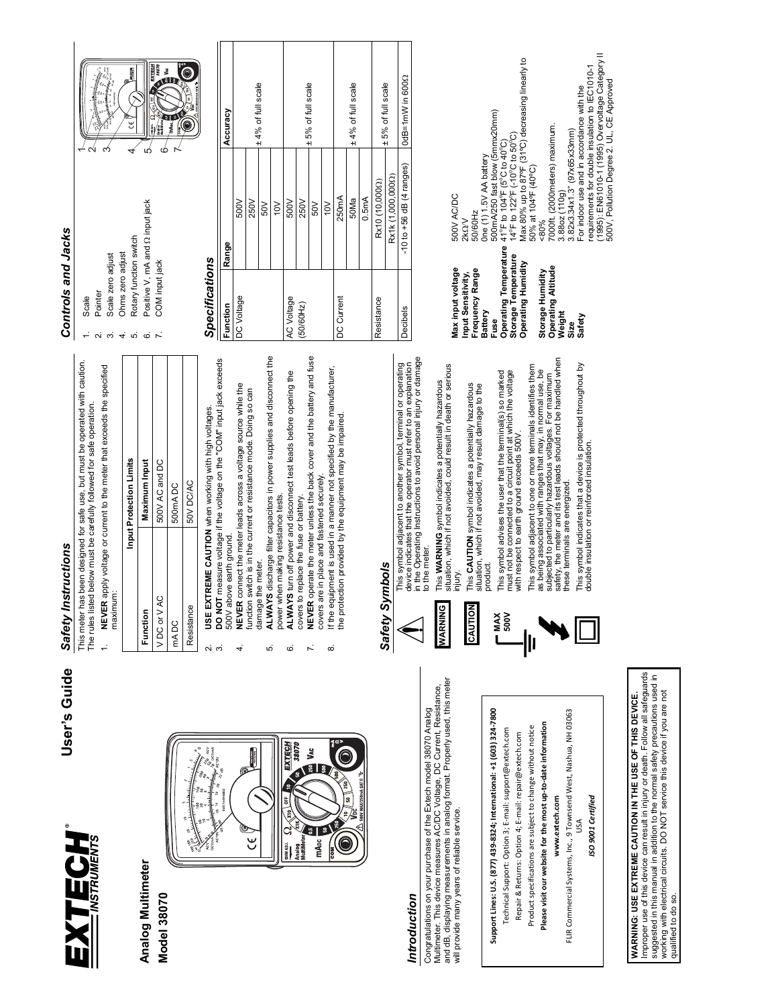

### **Analog Multimeter Analog Multimeter Model 38070 Model 38070**



### *Introduction*  Introduction

and dB, displaying measurements in analog format. Properly used, this meter and dB, displaying measurements in analog format. Properly used, this meter Multimeter. This device measures AC/DC Voltage, DC Current, Resistance, Multimeter. This device measures AC/DC Voltage, DC Current, Resistance, Congratulations on your purchase of the Extech model 38070 Analog Congratulations on your purchase of the Extech model 38070 Analog will provide many years of reliable service. provide many years of reliable service 

# Support Lines: U.S. (877) 439-8324; International: +1 (603) 324-7800 **Support Lines: U.S. (877) 439‐8324; International: +1 (603) 324‐7800**

Technical Support: Option 3; E-mail: support@extech.com Technical Support: Option 3; E‐mail: support@extech.com

Repair & Returns: Option 4; E-mail: repair@extech.com Repair & Returns: Option 4; E‐mail: repair@extech.com

Product specifications are subject to change without notice Product specifications are subject to change without notice

# Please visit our website for the most up-to-date information **Please visit our website for the most up‐to‐date information**

FLIR Commercial Systems, Inc., 9 Townsend West, Nashua, NH 03063 FLIR Commercial Systems, Inc., 9 Townsend West, Nashua, NH 03063 www.extech.com **www.extech.com**

USA

SO 9001 Certified *ISO 9001 Certified*

## Improper use of this device can result in injury or death. Follow all safeguards<br>suggested in this manual in addition to the normal safety precautions used in<br>working with electrical circuits. DO NOT service this device if Improper use of this device can result in injury or death. Follow all safeguards suggested in this manual in addition to the normal safety precautions used in working with electrical circuits. DO NOT service this device if you are not WARNING: USE EXTREME CAUTION IN THE USE OF THIS DEVICE. **WARNING: USE EXTREME CAUTION IN THE USE OF THIS DEVICE.**

qualified to do so.

qualified to do so.

## *Safety Instructions*  Safety Instructions User's Guide **User's Guide**

This meter has been designed for safe use, but must be operated with caution. This meter has been designed for safe use, but must be operated with caution. The rules listed below must be carefully followed for safe operation. The rules listed below must be carefully followed for safe operation.  $\ddot{ }$ 

- 1. **NEVER** apply voltage or current to the meter that exceeds the specified NEVER apply voltage or current to the meter that exceeds the specified
	- maximum: maximum

|                  | Input Protection Limits                                                                 |
|------------------|-----------------------------------------------------------------------------------------|
| Function         | Maximum Input                                                                           |
| VDC or VAC       | 500V AC and DC                                                                          |
| mA <sub>DC</sub> | 500mADC                                                                                 |
| Resistance       | 50V DC/AC                                                                               |
| C                | <b>CONTRACT AND RESIDENCE IN A REAL PROPERTY OF A REAL PROPERTY OF A REAL PROPERTY.</b> |

2. **USE EXTREME CAUTION** when working with high voltages. USE EXTREME CAUTION when working with high voltages.

- DO NOT measure voltage if the voltage on the "COM" input jack exceeds 3. **DO NOT** measure voltage if the voltage on the "COM" input jack exceeds 500V above earth ground പ് ന്
	- 4. **NEVER** connect the meter leads across a voltage source while the NEVER connect the meter leads across a voltage source while the function switch is in the current or resistance mode. Doing so can function switch is in the current or resistance mode. Doing so can 500V above earth ground. 4
- 5. **ALWAYS** discharge filter capacitors in power supplies and disconnect the damage the meter. damage the meter.
	- ALWAYS discharge filter capacitors in power supplies and disconnect the<br>power when making resistance tests. power when making resistance tests. ь.
		- ALWAYS turn off power and disconnect test leads before opening the 6. **ALWAYS** turn off power and disconnect test leads before opening the covers to replace the fuse or battery. covers to replace the fuse or battery.  $\dot{\circ}$
- 7. **NEVER** operate the meter unless the back cover and the battery and fuse NEVER operate the meter unless the back cover and the battery and fuse covers are in place and fastened securely. covers are in place and fastened securely  $\mathcal{L}$  $\dot{\infty}$ 
	- If the equipment is used in a manner not specified by the manufacturer,<br>the protection provided by the equipment may be impaired. 8. If the equipment is used in a manner not specified by the manufacturer, the protection provided by the equipment may be impaired.

## Safety Symbols *Safety Symbols*



situation, which if not avoided, could result in death or serious This WARNING symbol indicates a potentially hazardous<br>situation, which if not avoided, could result in death or serious This **WARNING** symbol indicates a potentially hazardous **WARNING WARNING**



This CAUTION symbol indicates a potentially hazardous<br>situation, which if not avoided, may result damage to the This **CAUTION** symbol indicates a potentially hazardous situation, which if not avoided, may result damage to the injury.



**MAX 500V**

-|||

must not be connected to a circuit point at which the voltage This symbol advises the user that the terminal(s) so marked<br>must not be connected to a circuit point at which the voltage with respect to earth ground exceeds 500V. with respect to earth ground exceeds 500V

safety, the meter and its test leads should not be handled when as being associated with ranges that may, in normal use, be<br>subjected to particularly hazardous voltages. For maximum<br>safety, the meter and its test leads should not be handled when This symbol adjacent to one or more terminals identifies them This symbol adjacent to one or more terminals identifies them as being associated with ranges that may, in normal use, be subjected to particularly hazardous voltages. For maximum these terminals are energized. these terminals are energized.

This symbol indicates that a device is protected throughout by<br>double insulation or reinforced insulation. This symbol indicates that a device is protected throughout by double insulation or reinforced insulation.

## Controls and Jacks *Controls and Jacks*

2. Pointer Pointer Scale  $\mathbf{a}$ က်

1. Scale

 $\div$ 

 $\overline{\phantom{a}}$ 

- 3. Scale zero adjust Scale zero adjust
- 5. Rotary function switch Rotary function switch Ohms zero adjust 4. Ohms zero adjust

ιó.

 $\vec{r}$ 

- input jack Positive V, mA and Q input jack 6. Positive V, mA and
- 
- 7. COM input jack COM input jack  $\mathbf{r}$  $\dot{\circ}$



## *Specifications*  Specifications



#### Č, ± 4% of full scale ± 5% of full scale  $50$ Ma<br> $\pm 4%$  of full scale Resistance Rx10 (10,000 $\Omega$ )  $_{\pm}$  5% of full scale ± 4% of full scale £ 5% of full scale : 4% of full scale ± 5% of full scale Decibels -10 to +56 dB (4 ranges) 0dB=1mW in 600 **Function Range Accuracy**  Accuracy -10 to +56 dB (4 ranges) Rx1k (1,000,000Ω) Rx1k (1,000,000Ω) Rx10 (10,000Ω) 250mA DC Current 250mA 50Ma 0.5mA DC Voltage 500V 250V **N005** 250V 50V 500V 10V 10V 50V Range DC Voltage AC Voltage DC Current AC Voltage Resistance **Function** (50/60Hz) Decibels

| Max input voltage   | 500V AC/DC                                                                                 |
|---------------------|--------------------------------------------------------------------------------------------|
| Input Sensitivity,  | $2k\Omega$                                                                                 |
| Frequency Range     | 50/60Hz                                                                                    |
| Battery             | One (1) 1.5V AA battery                                                                    |
| <b>Fuse</b>         | 500mA/250 fast blow (5mmx20mm)                                                             |
|                     | Operating Temperature $41^{\circ}$ F to $104^{\circ}$ F ( $5^{\circ}$ C to $40^{\circ}$ C) |
| Storage Temperature | 14°F to 122°F (-10°C to 50°C)                                                              |
| Operating Humidity  | Max 80% up to 87°F (31°C) decreasing linearly to                                           |
|                     | 50% at 104°F (40°C)                                                                        |
| Storage Humidity    | $80\%$                                                                                     |
| Operating Altitude  | 7000ft. (2000 meters) maximum.                                                             |
| Weight              | 3.88oz(110q)                                                                               |
| Size                | 3.82x3.34x1.3" (97x65x33mm)                                                                |
| Safety              | For indoor use and in accordance with the                                                  |
|                     | requirements for double insulation to IEC1010-1                                            |
|                     | (1995): EN61010-1 (1995) Overvoltage Category II                                           |
|                     | 500V, Pollution Degree 2. UL, CE Approved                                                  |